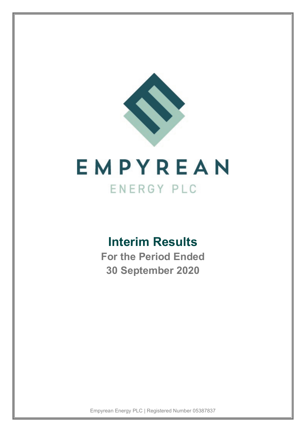

# **Interim Results**

**For the Period Ended 30 September 2020**

Empyrean Energy PLC | Registered Number 05387837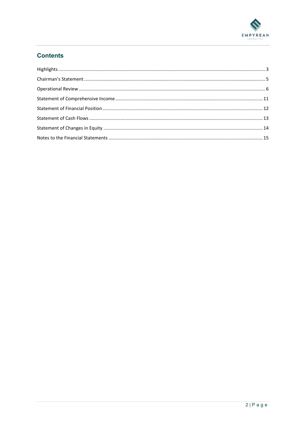

# **Contents**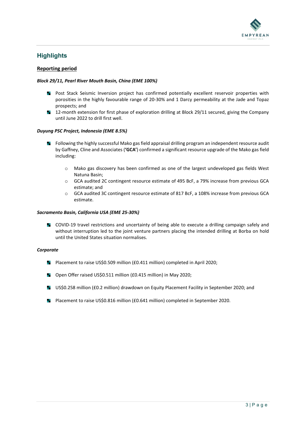

# <span id="page-2-0"></span>**Highlights**

### **Reporting period**

### *Block 29/11, Pearl River Mouth Basin, China (EME 100%)*

- **Post Stack Seismic Inversion project has confirmed potentially excellent reservoir properties with** porosities in the highly favourable range of 20-30% and 1 Darcy permeability at the Jade and Topaz prospects; and
- a sa 12-month extension for first phase of exploration drilling at Block 29/11 secured, giving the Company until June 2022 to drill first well.

### *Duyung PSC Project, Indonesia (EME 8.5%)*

- **Following the highly successful Mako gas field appraisal drilling program an independent resource audit** by Gaffney, Cline and Associates (**'GCA'**) confirmed a significant resource upgrade of the Mako gas field including:
	- o Mako gas discovery has been confirmed as one of the largest undeveloped gas fields West Natuna Basin;
	- o GCA audited 2C contingent resource estimate of 495 BcF, a 79% increase from previous GCA estimate; and
	- o GCA audited 3C contingent resource estimate of 817 BcF, a 108% increase from previous GCA estimate.

### *Sacramento Basin, California USA (EME 25-30%)*

**COVID-19 travel restrictions and uncertainty of being able to execute a drilling campaign safely and** without interruption led to the joint venture partners placing the intended drilling at Borba on hold until the United States situation normalises.

### *Corporate*

- **Placement to raise US\$0.509 million (£0.411 million) completed in April 2020;**
- Open Offer raised US\$0.511 million (£0.415 million) in May 2020;
- US\$0.258 million (£0.2 million) drawdown on Equity Placement Facility in September 2020; and
- **Placement to raise US\$0.816 million (£0.641 million) completed in September 2020.**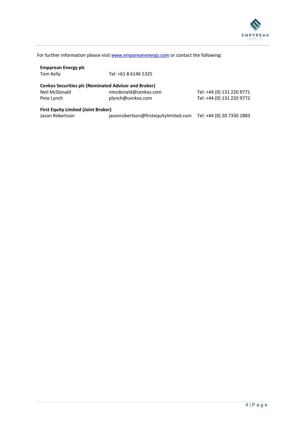

For further information please visit [www.empyreanenergy.com](http://www.empyreanenergy.com/) or contact the following:

| <b>Empyrean Energy plc</b>                                  |                                       |                           |
|-------------------------------------------------------------|---------------------------------------|---------------------------|
| Tom Kelly                                                   | Tel: +61 8 6146 5325                  |                           |
|                                                             |                                       |                           |
| <b>Cenkos Securities plc (Nominated Advisor and Broker)</b> |                                       |                           |
| Neil McDonald                                               | nmcdonald@cenkos.com                  | Tel: +44 (0) 131 220 9771 |
| Pete Lynch                                                  | plynch@cenkos.com                     | Tel: +44 (0) 131 220 9772 |
| <b>First Equity Limited (Joint Broker)</b>                  |                                       |                           |
| Jason Robertson                                             | jasonrobertson@firstequitylimited.com | Tel: +44 (0) 20 7330 1883 |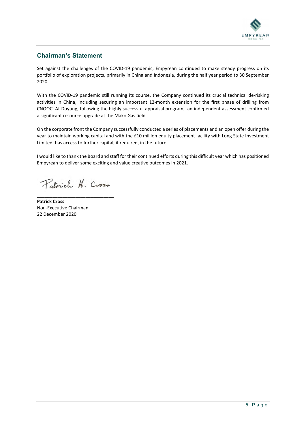

# <span id="page-4-0"></span>**Chairman's Statement**

Set against the challenges of the COVID-19 pandemic, Empyrean continued to make steady progress on its portfolio of exploration projects, primarily in China and Indonesia, during the half year period to 30 September 2020.

With the COVID-19 pandemic still running its course, the Company continued its crucial technical de-risking activities in China, including securing an important 12-month extension for the first phase of drilling from CNOOC. At Duyung, following the highly successful appraisal program, an independent assessment confirmed a significant resource upgrade at the Mako Gas field.

On the corporate front the Company successfully conducted a series of placements and an open offer during the year to maintain working capital and with the £10 million equity placement facility with Long State Investment Limited, has access to further capital, if required, in the future.

I would like to thank the Board and staff for their continued efforts during this difficult year which has positioned Empyrean to deliver some exciting and value creative outcomes in 2021.

Patrich H. Cross.

**\_\_\_\_\_\_\_\_\_\_\_\_\_\_\_\_\_\_\_\_\_\_\_\_\_\_\_\_\_\_**

**Patrick Cross** Non-Executive Chairman 22 December 2020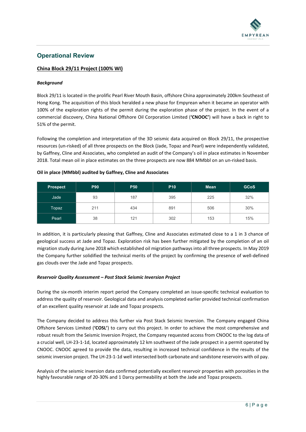

# <span id="page-5-0"></span>**Operational Review**

### **China Block 29/11 Project (100% WI)**

### *Background*

Block 29/11 is located in the prolific Pearl River Mouth Basin, offshore China approximately 200km Southeast of Hong Kong. The acquisition of this block heralded a new phase for Empyrean when it became an operator with 100% of the exploration rights of the permit during the exploration phase of the project. In the event of a commercial discovery, China National Offshore Oil Corporation Limited (**'CNOOC'**) will have a back in right to 51% of the permit.

Following the completion and interpretation of the 3D seismic data acquired on Block 29/11, the prospective resources (un-risked) of all three prospects on the Block (Jade, Topaz and Pearl) were independently validated, by Gaffney, Cline and Associates, who completed an audit of the Company's oil in place estimates in November 2018. Total mean oil in place estimates on the three prospects are now 884 MMbbl on an un-risked basis.

| <b>Prospect</b> | <b>P90</b> | <b>P50</b> | <b>P10</b> | <b>Mean</b> | <b>GCoS</b> |
|-----------------|------------|------------|------------|-------------|-------------|
| Jade            | 93         | 187        | 395        | 225         | 32%         |
| Topaz           | 211        | 434        | 891        | 506         | 30%         |
| Pearl           | 38         | 121        | 302        | 153         | 15%         |

### **Oil in place (MMbbl) audited by Gaffney, Cline and Associates**

In addition, it is particularly pleasing that Gaffney, Cline and Associates estimated close to a 1 in 3 chance of geological success at Jade and Topaz. Exploration risk has been further mitigated by the completion of an oil migration study during June 2018 which established oil migration pathways into all three prospects. In May 2019 the Company further solidified the technical merits of the project by confirming the presence of well-defined gas clouds over the Jade and Topaz prospects.

### *Reservoir Quality Assessment – Post Stack Seismic Inversion Project*

During the six-month interim report period the Company completed an issue-specific technical evaluation to address the quality of reservoir. Geological data and analysis completed earlier provided technical confirmation of an excellent quality reservoir at Jade and Topaz prospects.

The Company decided to address this further via Post Stack Seismic Inversion. The Company engaged China Offshore Services Limited (**'COSL'**) to carry out this project. In order to achieve the most comprehensive and robust result from the Seismic Inversion Project, the Company requested access from CNOOC to the log data of a crucial well, LH-23-1-1d, located approximately 12 km southwest of the Jade prospect in a permit operated by CNOOC. CNOOC agreed to provide the data, resulting in increased technical confidence in the results of the seismic inversion project. The LH-23-1-1d well intersected both carbonate and sandstone reservoirs with oil pay.

Analysis of the seismic inversion data confirmed potentially excellent reservoir properties with porosities in the highly favourable range of 20-30% and 1 Darcy permeability at both the Jade and Topaz prospects.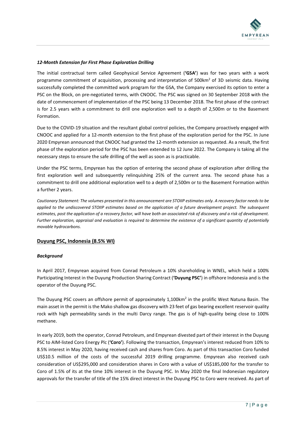

### *12-Month Extension for First Phase Exploration Drilling*

The initial contractual term called Geophysical Service Agreement (**'GSA'**) was for two years with a work programme commitment of acquisition, processing and interpretation of 500km<sup>2</sup> of 3D seismic data. Having successfully completed the committed work program for the GSA, the Company exercised its option to enter a PSC on the Block, on pre-negotiated terms, with CNOOC. The PSC was signed on 30 September 2018 with the date of commencement of implementation of the PSC being 13 December 2018. The first phase of the contract is for 2.5 years with a commitment to drill one exploration well to a depth of 2,500m or to the Basement Formation.

Due to the COVID-19 situation and the resultant global control policies, the Company proactively engaged with CNOOC and applied for a 12-month extension to the first phase of the exploration period for the PSC. In June 2020 Empyrean announced that CNOOC had granted the 12-month extension as requested. As a result, the first phase of the exploration period for the PSC has been extended to 12 June 2022. The Company is taking all the necessary steps to ensure the safe drilling of the well as soon as is practicable.

Under the PSC terms, Empyrean has the option of entering the second phase of exploration after drilling the first exploration well and subsequently relinquishing 25% of the current area. The second phase has a commitment to drill one additional exploration well to a depth of 2,500m or to the Basement Formation within a further 2 years.

*Cautionary Statement: The volumes presented in this announcement are STOIIP estimates only. A recovery factor needs to be*  applied to the undiscovered STOIIP estimates based on the application of a future development project. The subsequent *estimates, post the application of a recovery factor, will have both an associated risk of discovery and a risk of development. Further exploration, appraisal and evaluation is required to determine the existence of a significant quantity of potentially movable hydrocarbons.*

### **Duyung PSC, Indonesia (8.5% WI)**

### *Background*

In April 2017, Empyrean acquired from Conrad Petroleum a 10% shareholding in WNEL, which held a 100% Participating Interest in the Duyung Production Sharing Contract (**'Duyung PSC'**) in offshore Indonesia and is the operator of the Duyung PSC.

The Duyung PSC covers an offshore permit of approximately 1,100km<sup>2</sup> in the prolific West Natuna Basin. The main asset in the permit is the Mako shallow gas discovery with 23 feet of gas bearing excellent reservoir quality rock with high permeability sands in the multi Darcy range. The gas is of high-quality being close to 100% methane.

In early 2019, both the operator, Conrad Petroleum, and Empyrean divested part of their interest in the Duyung PSC to AIM-listed Coro Energy Plc (**'Coro'**). Following the transaction, Empyrean's interest reduced from 10% to 8.5% interest in May 2020, having received cash and shares from Coro. As part of this transaction Coro funded US\$10.5 million of the costs of the successful 2019 drilling programme. Empyrean also received cash consideration of US\$295,000 and consideration shares in Coro with a value of US\$185,000 for the transfer to Coro of 1.5% of its at the time 10% interest in the Duyung PSC. In May 2020 the final Indonesian regulatory approvals for the transfer of title of the 15% direct interest in the Duyung PSC to Coro were received. As part of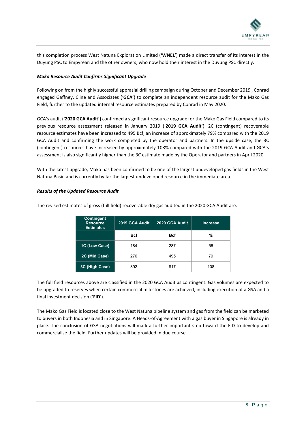

this completion process West Natuna Exploration Limited (**'WNEL'**) made a direct transfer of its interest in the Duyung PSC to Empyrean and the other owners, who now hold their interest in the Duyung PSC directly.

### *Mako Resource Audit Confirms Significant Upgrade*

Following on from the highly successful apprasial drilling campaign during October and December 2019 , Conrad engaged Gaffney, Cline and Associates ('**GCA**') to complete an independent resource audit for the Mako Gas Field, further to the updated internal resource estimates prepared by Conrad in May 2020.

GCA's audit ('**2020 GCA Audit')** confirmed a significant resource upgrade for the Mako Gas Field compared to its previous resource assessment released in January 2019 ('**2019 GCA Audit**'). 2C (contingent) recoverable resource estimates have been increased to 495 Bcf, an increase of approximately 79% compared with the 2019 GCA Audit and confirming the work completed by the operator and partners. In the upside case, the 3C (contingent) resources have increased by approximately 108% compared with the 2019 GCA Audit and GCA's assessment is also significantly higher than the 3C estimate made by the Operator and partners in April 2020.

With the latest upgrade, Mako has been confirmed to be one of the largest undeveloped gas fields in the West Natuna Basin and is currently by far the largest undeveloped resource in the immediate area.

### *Results of the Updated Resource Audit*

| <b>Contingent</b><br><b>Resource</b><br><b>Estimates</b> | 2019 GCA Audit | 2020 GCA Audit | Increase |
|----------------------------------------------------------|----------------|----------------|----------|
|                                                          | <b>B</b> cf    | <b>Bcf</b>     | %        |
| 1C (Low Case)                                            | 184            | 287            | 56       |
| 2C (Mid Case)                                            | 276            | 495            | 79       |
| 3C (High Case)                                           | 392            | 817            | 108      |

The revised estimates of gross (full field) recoverable dry gas audited in the 2020 GCA Audit are:

The full field resources above are classified in the 2020 GCA Audit as contingent. Gas volumes are expected to be upgraded to reserves when certain commercial milestones are achieved, including execution of a GSA and a final investment decision ('**FID**').

The Mako Gas Field is located close to the West Natuna pipeline system and gas from the field can be marketed to buyers in both Indonesia and in Singapore. A Heads-of-Agreement with a gas buyer in Singapore is already in place. The conclusion of GSA negotiations will mark a further important step toward the FID to develop and commercialise the field. Further updates will be provided in due course.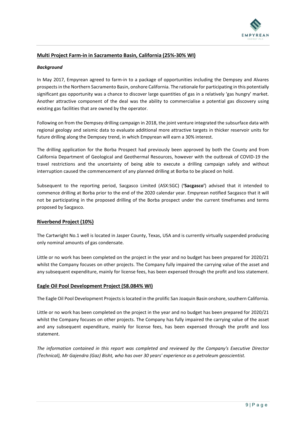

### **Multi Project Farm-in in Sacramento Basin, California (25%-30% WI)**

### *Background*

In May 2017, Empyrean agreed to farm-in to a package of opportunities including the Dempsey and Alvares prospects in the Northern Sacramento Basin, onshore California. The rationale for participating in this potentially significant gas opportunity was a chance to discover large quantities of gas in a relatively 'gas hungry' market. Another attractive component of the deal was the ability to commercialise a potential gas discovery using existing gas facilities that are owned by the operator.

Following on from the Dempsey drilling campaign in 2018, the joint venture integrated the subsurface data with regional geology and seismic data to evaluate additional more attractive targets in thicker reservoir units for future drilling along the Dempsey trend, in which Empyrean will earn a 30% interest.

The drilling application for the Borba Prospect had previously been approved by both the County and from California Department of Geological and Geothermal Resources, however with the outbreak of COVID-19 the travel restrictions and the uncertainty of being able to execute a drilling campaign safely and without interruption caused the commencement of any planned drilling at Borba to be placed on hold.

Subsequent to the reporting period, Sacgasco Limited (ASX:SGC) (**'Sacgasco'**) advised that it intended to commence drilling at Borba prior to the end of the 2020 calendar year. Empyrean notified Sacgasco that it will not be participating in the proposed drilling of the Borba prospect under the current timeframes and terms proposed by Sacgasco.

### **Riverbend Project (10%)**

The Cartwright No.1 well is located in Jasper County, Texas, USA and is currently virtually suspended producing only nominal amounts of gas condensate.

Little or no work has been completed on the project in the year and no budget has been prepared for 2020/21 whilst the Company focuses on other projects. The Company fully impaired the carrying value of the asset and any subsequent expenditure, mainly for license fees, has been expensed through the profit and loss statement.

### **Eagle Oil Pool Development Project (58.084% WI)**

The Eagle Oil Pool Development Projects is located in the prolific San Joaquin Basin onshore, southern California.

Little or no work has been completed on the project in the year and no budget has been prepared for 2020/21 whilst the Company focuses on other projects. The Company has fully impaired the carrying value of the asset and any subsequent expenditure, mainly for license fees, has been expensed through the profit and loss statement.

*The information contained in this report was completed and reviewed by the Company's Executive Director (Technical), Mr Gajendra (Gaz) Bisht, who has over 30 years' experience as a petroleum geoscientist.*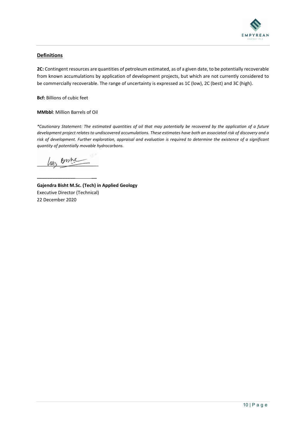

### **Definitions**

**2C:** Contingent resources are quantities of petroleum estimated, as of a given date, to be potentially recoverable from known accumulations by application of development projects, but which are not currently considered to be commercially recoverable. The range of uncertainty is expressed as 1C (low), 2C (best) and 3C (high).

**Bcf:** Billions of cubic feet

### **MMbbl**: Million Barrels of Oil

*\*Cautionary Statement: The estimated quantities of oil that may potentially be recovered by the application of a future development project relates to undiscovered accumulations. These estimates have both an associated risk of discovery and a risk of development. Further exploration, appraisal and evaluation is required to determine the existence of a significant quantity of potentially movable hydrocarbons.*

Boshe  $\overline{\mathcal{M}}$ 

**\_\_\_\_\_\_\_\_\_\_\_\_\_\_\_ \_\_** 

**Gajendra Bisht M.Sc. (Tech) in Applied Geology** Executive Director (Technical) 22 December 2020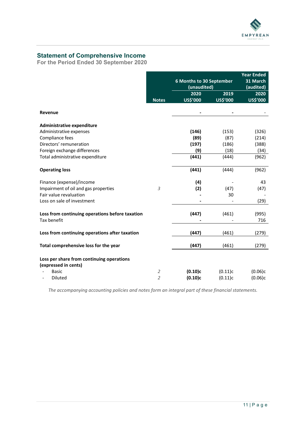

# <span id="page-10-0"></span>**Statement of Comprehensive Income**

**For the Period Ended 30 September 2020**

|                                                 |                | 6 Months to 30 September<br>(unaudited) |          | <b>Year Ended</b><br>31 March<br>(audited) |
|-------------------------------------------------|----------------|-----------------------------------------|----------|--------------------------------------------|
|                                                 |                | 2020                                    | 2019     | 2020                                       |
|                                                 | <b>Notes</b>   | US\$'000                                | US\$'000 | US\$'000                                   |
| Revenue                                         |                |                                         |          |                                            |
| <b>Administrative expenditure</b>               |                |                                         |          |                                            |
| Administrative expenses                         |                | (146)                                   | (153)    | (326)                                      |
| Compliance fees                                 |                | (89)                                    | (87)     | (214)                                      |
| Directors' remuneration                         |                | (197)                                   | (186)    | (388)                                      |
| Foreign exchange differences                    |                | (9)                                     | (18)     | (34)                                       |
| Total administrative expenditure                |                | (441)                                   | (444)    | (962)                                      |
| <b>Operating loss</b>                           |                | (441)                                   | (444)    | (962)                                      |
| Finance (expense)/income                        |                | (4)                                     |          | 43                                         |
| Impairment of oil and gas properties            | 3              | (2)                                     | (47)     | (47)                                       |
| Fair value revaluation                          |                |                                         | 30       |                                            |
| Loss on sale of investment                      |                |                                         |          | (29)                                       |
| Loss from continuing operations before taxation |                | (447)                                   | (461)    | (995)                                      |
| Tax benefit                                     |                |                                         |          | 716                                        |
| Loss from continuing operations after taxation  |                | (447)                                   | (461)    | (279)                                      |
| Total comprehensive loss for the year           |                | (447)                                   | (461)    | (279)                                      |
| Loss per share from continuing operations       |                |                                         |          |                                            |
| (expressed in cents)                            |                |                                         |          |                                            |
| <b>Basic</b>                                    | 2              | (0.10)c                                 | (0.11)c  | (0.06)c                                    |
| <b>Diluted</b>                                  | $\overline{2}$ | (0.10)c                                 | (0.11)c  | (0.06)c                                    |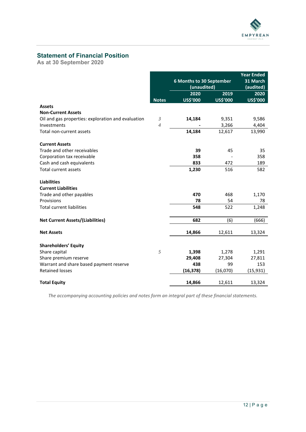

# <span id="page-11-0"></span>**Statement of Financial Position**

**As at 30 September 2020**

|                                                    |                | 6 Months to 30 September |          | <b>Year Ended</b><br>31 March |
|----------------------------------------------------|----------------|--------------------------|----------|-------------------------------|
|                                                    |                | (unaudited)              |          | (audited)                     |
|                                                    |                | 2020                     | 2019     | 2020                          |
|                                                    | <b>Notes</b>   | US\$'000                 | US\$'000 | US\$'000                      |
| <b>Assets</b>                                      |                |                          |          |                               |
| <b>Non-Current Assets</b>                          |                |                          |          |                               |
| Oil and gas properties: exploration and evaluation | 3              | 14,184                   | 9,351    | 9,586                         |
| Investments                                        | $\overline{4}$ |                          | 3,266    | 4,404                         |
| Total non-current assets                           |                | 14,184                   | 12,617   | 13,990                        |
| <b>Current Assets</b>                              |                |                          |          |                               |
| Trade and other receivables                        |                | 39                       | 45       | 35                            |
| Corporation tax receivable                         |                | 358                      |          | 358                           |
| Cash and cash equivalents                          |                | 833                      | 472      | 189                           |
| <b>Total current assets</b>                        |                | 1,230                    | 516      | 582                           |
| <b>Liabilities</b>                                 |                |                          |          |                               |
| <b>Current Liabilities</b>                         |                |                          |          |                               |
| Trade and other payables                           |                | 470                      | 468      | 1,170                         |
| Provisions                                         |                | 78                       | 54       | 78                            |
| <b>Total current liabilities</b>                   |                | 548                      | 522      | 1,248                         |
| <b>Net Current Assets/(Liabilities)</b>            |                | 682                      | (6)      | (666)                         |
| <b>Net Assets</b>                                  |                | 14,866                   | 12,611   | 13,324                        |
| <b>Shareholders' Equity</b>                        |                |                          |          |                               |
| Share capital                                      | 5              | 1,398                    | 1,278    | 1,291                         |
| Share premium reserve                              |                | 29,408                   | 27,304   | 27,811                        |
| Warrant and share based payment reserve            |                | 438                      | 99       | 153                           |
| <b>Retained losses</b>                             |                | (16, 378)                | (16,070) | (15, 931)                     |
|                                                    |                |                          |          |                               |
| <b>Total Equity</b>                                |                | 14,866                   | 12,611   | 13,324                        |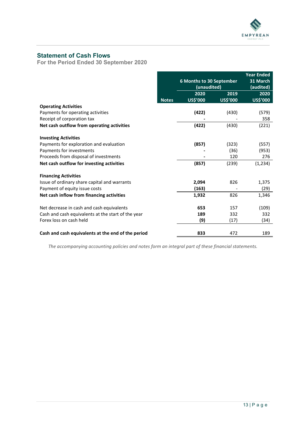

# <span id="page-12-0"></span>**Statement of Cash Flows**

**For the Period Ended 30 September 2020**

|                                                    |              |                                 |           | <b>Year Ended</b> |
|----------------------------------------------------|--------------|---------------------------------|-----------|-------------------|
|                                                    |              | <b>6 Months to 30 September</b> |           | 31 March          |
|                                                    |              | (unaudited)                     | (audited) |                   |
|                                                    |              | 2020                            | 2019      | 2020              |
|                                                    | <b>Notes</b> | US\$'000                        | US\$'000  | US\$'000          |
| <b>Operating Activities</b>                        |              |                                 |           |                   |
| Payments for operating activities                  |              | (422)                           | (430)     | (579)             |
| Receipt of corporation tax                         |              |                                 |           | 358               |
| Net cash outflow from operating activities         |              | (422)                           | (430)     | (221)             |
| <b>Investing Activities</b>                        |              |                                 |           |                   |
| Payments for exploration and evaluation            |              | (857)                           | (323)     | (557)             |
| Payments for investments                           |              |                                 | (36)      | (953)             |
| Proceeds from disposal of investments              |              |                                 | 120       | 276               |
| Net cash outflow for investing activities          |              | (857)                           | (239)     | (1, 234)          |
| <b>Financing Activities</b>                        |              |                                 |           |                   |
| Issue of ordinary share capital and warrants       |              | 2,094                           | 826       | 1,375             |
| Payment of equity issue costs                      |              | (163)                           |           | (29)              |
| Net cash inflow from financing activities          |              | 1,932                           | 826       | 1,346             |
| Net decrease in cash and cash equivalents          |              | 653                             | 157       | (109)             |
| Cash and cash equivalents at the start of the year |              | 189                             | 332       | 332               |
| Forex loss on cash held                            |              | (9)                             | (17)      | (34)              |
|                                                    |              |                                 |           |                   |
| Cash and cash equivalents at the end of the period |              | 833                             | 472       | 189               |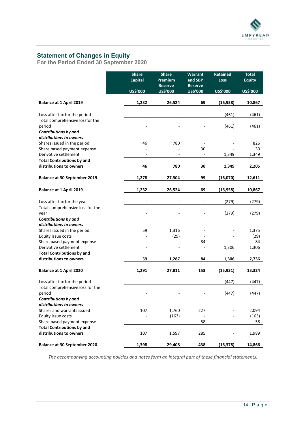

# <span id="page-13-0"></span>**Statement of Changes in Equity**

**For the Period Ended 30 September 2020**

|                                                              | <b>Share</b><br><b>Capital</b> | <b>Share</b><br>Premium<br><b>Reserve</b> | <b>Warrant</b><br>and SBP<br><b>Reserve</b> | <b>Retained</b><br><b>Loss</b> | <b>Total</b><br><b>Equity</b> |
|--------------------------------------------------------------|--------------------------------|-------------------------------------------|---------------------------------------------|--------------------------------|-------------------------------|
|                                                              | US\$'000                       | US\$'000                                  | US\$'000                                    | US\$'000                       | US\$'000                      |
| <b>Balance at 1 April 2019</b>                               | 1,232                          | 26,524                                    | 69                                          | (16, 958)                      | 10,867                        |
| Loss after tax for the period                                |                                |                                           |                                             | (461)                          | (461)                         |
| Total comprehensive lossfor the<br>period                    |                                |                                           |                                             | (461)                          | (461)                         |
| Contributions by and<br>distributions to owners              |                                |                                           |                                             |                                |                               |
| Shares issued in the period<br>Share based payment expense   | 46                             | 780                                       | 30                                          |                                | 826<br>30                     |
| Derivative settlement                                        |                                |                                           | $\blacksquare$                              | 1,349                          | 1,349                         |
| <b>Total Contributions by and</b>                            |                                |                                           |                                             |                                |                               |
| distributions to owners                                      | 46                             | 780                                       | 30                                          | 1,349                          | 2,205                         |
| <b>Balance at 30 September 2019</b>                          | 1,278                          | 27,304                                    | 99                                          | (16,070)                       | 12,611                        |
| <b>Balance at 1 April 2019</b>                               | 1,232                          | 26,524                                    | 69                                          | (16, 958)                      | 10,867                        |
| Loss after tax for the year                                  |                                |                                           |                                             | (279)                          | (279)                         |
| Total comprehensive loss for the<br>vear                     |                                |                                           |                                             | (279)                          | (279)                         |
| Contributions by and<br>distributions to owners              |                                |                                           |                                             |                                |                               |
| Shares issued in the period                                  | 59                             | 1,316                                     |                                             |                                | 1,375                         |
| Equity issue costs                                           |                                | (29)                                      |                                             |                                | (29)                          |
| Share based payment expense<br>Derivative settlement         |                                |                                           | 84<br>$\overline{a}$                        | 1,306                          | 84<br>1,306                   |
| <b>Total Contributions by and</b>                            |                                |                                           |                                             |                                |                               |
| distributions to owners                                      | 59                             | 1,287                                     | 84                                          | 1,306                          | 2,736                         |
| <b>Balance at 1 April 2020</b>                               | 1,291                          | 27,811                                    | 153                                         | (15, 931)                      | 13,324                        |
| Loss after tax for the period                                |                                |                                           |                                             | (447)                          | (447)                         |
| Total comprehensive loss for the<br>period                   |                                |                                           |                                             | (447)                          | (447)                         |
| <b>Contributions by and</b>                                  |                                |                                           |                                             |                                |                               |
| distributions to owners                                      |                                |                                           |                                             |                                |                               |
| Shares and warrants issued<br>Equity issue costs             | 107                            | 1,760<br>(163)                            | 227<br>$\overline{\phantom{a}}$             |                                | 2,094<br>(163)                |
| Share based payment expense                                  |                                |                                           | 58                                          |                                | 58                            |
| <b>Total Contributions by and</b><br>distributions to owners | 107                            | 1,597                                     | 285                                         |                                | 1,989                         |
|                                                              |                                |                                           |                                             |                                |                               |
| <b>Balance at 30 September 2020</b>                          | 1,398                          | 29,408                                    | 438                                         | (16, 378)                      | 14,866                        |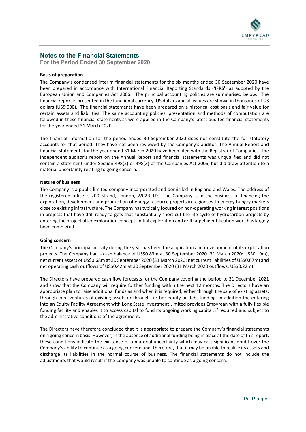

### <span id="page-14-0"></span>**Notes to the Financial Statements**

**For the Period Ended 30 September 2020**

### **Basis of preparation**

The Company's condensed interim financial statements for the six months ended 30 September 2020 have been prepared in accordance with International Financial Reporting Standards ('**IFRS'**) as adopted by the European Union and Companies Act 2006. The principal accounting policies are summarised below. The financial report is presented in the functional currency, US dollars and all values are shown in thousands of US dollars (US\$'000). The financial statements have been prepared on a historical cost basis and fair value for certain assets and liabilities. The same accounting policies, presentation and methods of computation are followed in these financial statements as were applied in the Company's latest audited financial statements for the year ended 31 March 2020.

The financial information for the period ended 30 September 2020 does not constitute the full statutory accounts for that period. They have not been reviewed by the Company's auditor. The Annual Report and financial statements for the year ended 31 March 2020 have been filed with the Registrar of Companies. The independent auditor's report on the Annual Report and financial statements was unqualified and did not contain a statement under Section 498(2) or 498(3) of the Companies Act 2006, but did draw attention to a material uncertainty relating to going concern.

### **Nature of business**

The Company is a public limited company incorporated and domiciled in England and Wales. The address of the registered office is 200 Strand, London, WC2R 1DJ. The Company is in the business of financing the exploration, development and production of energy resource projects in regions with energy hungry markets close to existing infrastructure. The Company has typically focused on non-operating working interest positions in projects that have drill ready targets that substantially short cut the life-cycle of hydrocarbon projects by entering the project after exploration concept, initial exploration and drill target identification work has largely been completed.

### **Going concern**

The Company's principal activity during the year has been the acquisition and development of its exploration projects. The Company had a cash balance of US\$0.83m at 30 September 2020 (31 March 2020: US\$0.19m), net current assets of US\$0.68m at 30 September 2020 (31 March 2020: net current liabilities of US\$0.67m) and net operating cash outflows of US\$0.42m at 30 September 2020 (31 March 2020 outflows: US\$0.22m).

The Directors have prepared cash flow forecasts for the Company covering the period to 31 December 2021 and show that the Company will require further funding within the next 12 months. The Directors have an appropriate plan to raise additional funds as and when it is required, either through the sale of existing assets, through joint ventures of existing assets or through further equity or debt funding. In addition the entering into an Equity Facility Agreement with Long State Investment Limited provides Empyrean with a fully flexible funding facility and enables it to access capital to fund its ongoing working capital, if required and subject to the administrative conditions of the agreement.

The Directors have therefore concluded that it is appropriate to prepare the Company's financial statements on a going concern basis. However, in the absence of additional funding being in place at the date of this report, these conditions indicate the existence of a material uncertainty which may cast significant doubt over the Company's ability to continue as a going concern and, therefore, that it may be unable to realise its assets and discharge its liabilities in the normal course of business. The financial statements do not include the adjustments that would result if the Company was unable to continue as a going concern.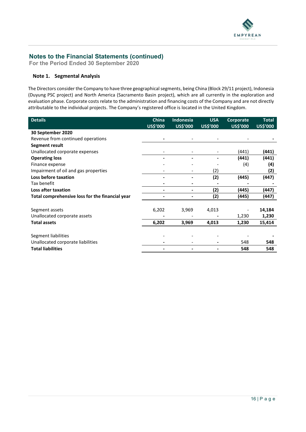

**For the Period Ended 30 September 2020**

### **Note 1. Segmental Analysis**

The Directors consider the Company to have three geographical segments, being China (Block 29/11 project), Indonesia (Duyung PSC project) and North America (Sacramento Basin project), which are all currently in the exploration and evaluation phase. Corporate costs relate to the administration and financing costs of the Company and are not directly attributable to the individual projects. The Company's registered office is located in the United Kingdom.

| <b>Details</b>                                  | <b>China</b><br>US\$'000 | Indonesia<br>US\$'000 | <b>USA</b><br>US\$'000 | Corporate<br>US\$'000 | <b>Total</b><br>US\$'000 |
|-------------------------------------------------|--------------------------|-----------------------|------------------------|-----------------------|--------------------------|
| 30 September 2020                               |                          |                       |                        |                       |                          |
| Revenue from continued operations               |                          |                       |                        |                       |                          |
| Segment result                                  |                          |                       |                        |                       |                          |
| Unallocated corporate expenses                  |                          |                       |                        | (441)                 | (441)                    |
| <b>Operating loss</b>                           |                          |                       |                        | (441)                 | (441)                    |
| Finance expense                                 |                          |                       |                        | (4)                   | (4)                      |
| Impairment of oil and gas properties            |                          |                       | (2)                    |                       | (2)                      |
| Loss before taxation                            |                          |                       | (2)                    | (445)                 | (447)                    |
| Tax benefit                                     |                          |                       |                        |                       |                          |
| Loss after taxation                             |                          | ۰                     | (2)                    | (445)                 | (447)                    |
| Total comprehensive loss for the financial year |                          |                       | (2)                    | (445)                 | (447)                    |
|                                                 |                          |                       |                        |                       |                          |
| Segment assets                                  | 6,202                    | 3,969                 | 4,013                  |                       | 14,184                   |
| Unallocated corporate assets                    |                          |                       |                        | 1,230                 | 1,230                    |
| <b>Total assets</b>                             | 6,202                    | 3,969                 | 4,013                  | 1,230                 | 15,414                   |
|                                                 |                          |                       |                        |                       |                          |
| Segment liabilities                             |                          |                       |                        |                       |                          |
| Unallocated corporate liabilities               |                          |                       |                        | 548                   | 548                      |
| <b>Total liabilities</b>                        |                          |                       |                        | 548                   | 548                      |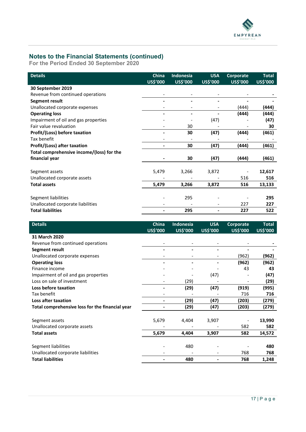

**For the Period Ended 30 September 2020**

| <b>Details</b>                            | <b>China</b><br>US\$'000 | <b>Indonesia</b><br>US\$'000 | <b>USA</b><br>US\$'000 | Corporate<br>US\$'000 | <b>Total</b><br><b>US\$'000</b> |
|-------------------------------------------|--------------------------|------------------------------|------------------------|-----------------------|---------------------------------|
| 30 September 2019                         |                          |                              |                        |                       |                                 |
| Revenue from continued operations         |                          |                              |                        |                       |                                 |
| Segment result                            |                          |                              |                        |                       |                                 |
| Unallocated corporate expenses            |                          |                              |                        | (444)                 | (444)                           |
| <b>Operating loss</b>                     |                          |                              |                        | (444)                 | (444)                           |
| Impairment of oil and gas properties      |                          |                              | (47)                   |                       | (47)                            |
| Fair value revaluation                    |                          | 30                           |                        |                       | 30                              |
| Profit/(Loss) before taxation             |                          | 30                           | (47)                   | (444)                 | (461)                           |
| Tax benefit                               |                          |                              |                        |                       |                                 |
| Profit/(Loss) after taxation              |                          | 30                           | (47)                   | (444)                 | (461)                           |
| Total comprehensive income/(loss) for the |                          |                              |                        |                       |                                 |
| financial year                            |                          | 30                           | (47)                   | (444)                 | (461)                           |
|                                           |                          |                              |                        |                       | 12,617                          |
| Segment assets                            | 5,479                    | 3,266                        | 3,872                  |                       |                                 |
| Unallocated corporate assets              |                          |                              |                        | 516                   | 516                             |
| <b>Total assets</b>                       | 5,479                    | 3,266                        | 3,872                  | 516                   | 13,133                          |
|                                           |                          |                              |                        |                       |                                 |
| Segment liabilities                       |                          | 295                          |                        |                       | 295                             |
| Unallocated corporate liabilities         |                          |                              |                        | 227                   | 227                             |
| <b>Total liabilities</b>                  |                          | 295                          |                        | 227                   | 522                             |

| <b>Details</b>                                  | China                    | Indonesia       | <b>USA</b> | Corporate | <b>Total</b>    |
|-------------------------------------------------|--------------------------|-----------------|------------|-----------|-----------------|
|                                                 | US\$'000                 | <b>US\$'000</b> | US\$'000   | US\$'000  | <b>US\$'000</b> |
| 31 March 2020                                   |                          |                 |            |           |                 |
| Revenue from continued operations               |                          |                 |            |           |                 |
| Segment result                                  |                          |                 |            |           |                 |
| Unallocated corporate expenses                  |                          |                 |            | (962)     | (962)           |
| <b>Operating loss</b>                           |                          |                 |            | (962)     | (962)           |
| Finance income                                  |                          |                 |            | 43        | 43              |
| Impairment of oil and gas properties            |                          |                 | (47)       |           | (47)            |
| Loss on sale of investment                      |                          | (29)            |            |           | (29)            |
| Loss before taxation                            |                          | (29)            | (47)       | (919)     | (995)           |
| Tax benefit                                     |                          |                 |            | 716       | 716             |
| Loss after taxation                             | $\overline{\phantom{0}}$ | (29)            | (47)       | (203)     | (279)           |
| Total comprehensive loss for the financial year |                          | (29)            | (47)       | (203)     | (279)           |
|                                                 |                          |                 |            |           |                 |
| Segment assets                                  | 5,679                    | 4,404           | 3,907      |           | 13,990          |
| Unallocated corporate assets                    |                          |                 |            | 582       | 582             |
| <b>Total assets</b>                             | 5,679                    | 4,404           | 3,907      | 582       | 14,572          |
|                                                 |                          |                 |            |           |                 |
| Segment liabilities                             |                          | 480             |            |           | 480             |
| Unallocated corporate liabilities               |                          |                 |            | 768       | 768             |
| <b>Total liabilities</b>                        |                          | 480             |            | 768       | 1,248           |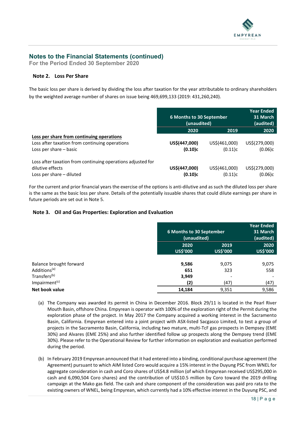

**For the Period Ended 30 September 2020**

### **Note 2. Loss Per Share**

The basic loss per share is derived by dividing the loss after taxation for the year attributable to ordinary shareholders by the weighted average number of shares on issue being 469,699,133 (2019: 431,260,240).

|                                                             | 6 Months to 30 September<br>(unaudited) |               | Year Ended<br>31 March<br>(audited) |
|-------------------------------------------------------------|-----------------------------------------|---------------|-------------------------------------|
|                                                             | 2020                                    | 2019          | 2020                                |
| Loss per share from continuing operations                   |                                         |               |                                     |
| Loss after taxation from continuing operations              | US\$(447,000)                           | US\$(461,000) | US\$(279,000)                       |
| Loss per share – basic                                      | (0.10)c                                 | (0.11)c       | (0.06)c                             |
| Loss after taxation from continuing operations adjusted for |                                         |               |                                     |
| dilutive effects                                            | US\$(447,000)                           | US\$(461,000) | US\$(279,000)                       |
| Loss per share – diluted                                    | (0.10)c                                 | (0.11)c       | (0.06)c                             |

For the current and prior financial years the exercise of the options is anti-dilutive and as such the diluted loss per share is the same as the basic loss per share. Details of the potentially issuable shares that could dilute earnings per share in future periods are set out in Note 5.

### **Note 3. Oil and Gas Properties: Exploration and Evaluation**

|                           | 6 Months to 30 September<br>(unaudited) |                  | <b>Year Ended</b><br>31 March<br>(audited) |
|---------------------------|-----------------------------------------|------------------|--------------------------------------------|
|                           | 2020<br>US\$'000                        | 2019<br>US\$'000 | 2020<br>US\$'000                           |
| Balance brought forward   | 9,586                                   | 9,075            | 9,075                                      |
| Additions <sup>(a)</sup>  | 651                                     | 323              | 558                                        |
| Transfers <sup>(b)</sup>  | 3,949                                   |                  |                                            |
| Impairment <sup>(c)</sup> | (2)                                     | (47)             | (47)                                       |
| Net book value            | 14,184                                  | 9,351            | 9,586                                      |

- (a) The Company was awarded its permit in China in December 2016. Block 29/11 is located in the Pearl River Mouth Basin, offshore China. Empyrean is operator with 100% of the exploration right of the Permit during the exploration phase of the project. In May 2017 the Company acquired a working interest in the Sacramento Basin, California. Empyrean entered into a joint project with ASX-listed Sacgasco Limited, to test a group of projects in the Sacramento Basin, California, including two mature, multi-TcF gas prospects in Dempsey (EME 30%) and Alvares (EME 25%) and also further identified follow up prospects along the Dempsey trend (EME 30%). Please refer to the Operational Review for further information on exploration and evaluation performed during the period.
- (b) In February 2019 Empyrean announced that it had entered into a binding, conditional purchase agreement (the Agreement) pursuant to which AIM listed Coro would acquire a 15% interest in the Duyung PSC from WNEL for aggregate consideration in cash and Coro shares of US\$4.8 million (of which Empyrean received US\$295,000 in cash and 6,090,504 Coro shares) and the contribution of US\$10.5 million by Coro toward the 2019 drilling campaign at the Mako gas field. The cash and share component of the consideration was paid pro rata to the existing owners of WNEL, being Empyrean, which currently had a 10% effective interest in the Duyung PSC, and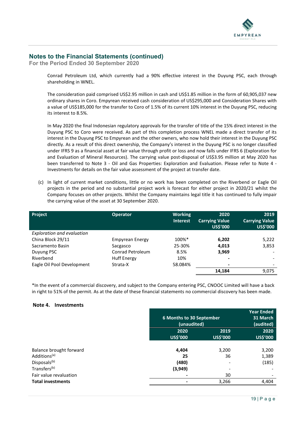

**For the Period Ended 30 September 2020**

Conrad Petroleum Ltd, which currently had a 90% effective interest in the Duyung PSC, each through shareholding in WNEL.

The consideration paid comprised US\$2.95 million in cash and US\$1.85 million in the form of 60,905,037 new ordinary shares in Coro. Empyrean received cash consideration of US\$295,000 and Consideration Shares with a value of US\$185,000 for the transfer to Coro of 1.5% of its current 10% interest in the Duyung PSC, reducing its interest to 8.5%.

In May 2020 the final Indonesian regulatory approvals for the transfer of title of the 15% direct interest in the Duyung PSC to Coro were received. As part of this completion process WNEL made a direct transfer of its interest in the Duyung PSC to Empyrean and the other owners, who now hold their interest in the Duyung PSC directly. As a result of this direct ownership, the Company's interest in the Duyung PSC is no longer classified under IFRS 9 as a financial asset at fair value through profit or loss and now falls under IFRS 6 (Exploration for and Evaluation of Mineral Resources). The carrying value post-disposal of US\$3.95 million at May 2020 has been transferred to Note 3 - Oil and Gas Properties: Exploration and Evaluation. Please refer to Note 4 - Investments for details on the fair value assessment of the project at transfer date.

(c) In light of current market conditions, little or no work has been completed on the Riverbend or Eagle Oil projects in the period and no substantial project work is forecast for either project in 2020/21 whilst the Company focuses on other projects. Whilst the Company maintains legal title it has continued to fully impair the carrying value of the asset at 30 September 2020.

| <b>Project</b>                    | <b>Operator</b>        | <b>Working</b><br><b>Interest</b> | 2020<br><b>Carrying Value</b><br><b>US\$'000</b> | 2019<br><b>Carrying Value</b><br>US\$'000 |
|-----------------------------------|------------------------|-----------------------------------|--------------------------------------------------|-------------------------------------------|
| <b>Exploration and evaluation</b> |                        |                                   |                                                  |                                           |
| China Block 29/11                 | <b>Empyrean Energy</b> | 100%*                             | 6,202                                            | 5,222                                     |
| Sacramento Basin                  | Sacgasco               | 25-30%                            | 4,013                                            | 3,853                                     |
| Duyung PSC                        | Conrad Petroleum       | 8.5%                              | 3,969                                            |                                           |
| Riverbend                         | <b>Huff Energy</b>     | 10%                               | ۰                                                |                                           |
| Eagle Oil Pool Development        | Strata-X               | 58.084%                           |                                                  |                                           |
|                                   |                        |                                   | 14,184                                           | 9,075                                     |

\*In the event of a commercial discovery, and subject to the Company entering PSC, CNOOC Limited will have a back in right to 51% of the permit. As at the date of these financial statements no commercial discovery has been made.

### **Note 4. Investments**

|                                                    |          | 6 Months to 30 September<br>(unaudited) |                 |
|----------------------------------------------------|----------|-----------------------------------------|-----------------|
|                                                    | 2020     | 2019                                    | 2020            |
|                                                    | US\$'000 | US\$'000                                | <b>US\$'000</b> |
| Balance brought forward                            | 4,404    | 3,200                                   | 3,200           |
| Additions <sup>(a)</sup>                           | 25       | 36                                      | 1,389           |
| Disposals <sup>(b)</sup>                           | (480)    | $\overline{\phantom{a}}$                | (185)           |
| Transfers <sup>(b)</sup>                           | (3,949)  | $\overline{\phantom{0}}$                |                 |
| Fair value revaluation<br><b>Total investments</b> |          | 30<br>3,266                             | 4,404           |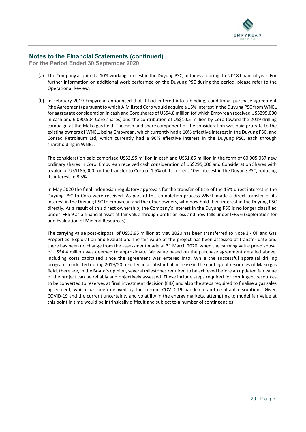

**For the Period Ended 30 September 2020**

- (a) The Company acquired a 10% working interest in the Duyung PSC, Indonesia during the 2018 financial year. For further information on additional work performed on the Duyung PSC during the period, please refer to the Operational Review.
- (b) In February 2019 Empyrean announced that it had entered into a binding, conditional purchase agreement (the Agreement) pursuant to which AIM listed Coro would acquire a 15% interest in the Duyung PSC from WNEL for aggregate consideration in cash and Coro shares of US\$4.8 million (of which Empyrean received US\$295,000 in cash and 6,090,504 Coro shares) and the contribution of US\$10.5 million by Coro toward the 2019 drilling campaign at the Mako gas field. The cash and share component of the consideration was paid pro rata to the existing owners of WNEL, being Empyrean, which currently had a 10% effective interest in the Duyung PSC, and Conrad Petroleum Ltd, which currently had a 90% effective interest in the Duyung PSC, each through shareholding in WNEL.

The consideration paid comprised US\$2.95 million in cash and US\$1.85 million in the form of 60,905,037 new ordinary shares in Coro. Empyrean received cash consideration of US\$295,000 and Consideration Shares with a value of US\$185,000 for the transfer to Coro of 1.5% of its current 10% interest in the Duyung PSC, reducing its interest to 8.5%.

In May 2020 the final Indonesian regulatory approvals for the transfer of title of the 15% direct interest in the Duyung PSC to Coro were received. As part of this completion process WNEL made a direct transfer of its interest in the Duyung PSC to Empyrean and the other owners, who now hold their interest in the Duyung PSC directly. As a result of this direct ownership, the Company's interest in the Duyung PSC is no longer classified under IFRS 9 as a financial asset at fair value through profit or loss and now falls under IFRS 6 (Exploration for and Evaluation of Mineral Resources).

The carrying value post-disposal of US\$3.95 million at May 2020 has been transferred to Note 3 - Oil and Gas Properties: Exploration and Evaluation. The fair value of the project has been assessed at transfer date and there has been no change from the assessment made at 31 March 2020, when the carrying value pre-disposal of US\$4.4 million was deemed to approximate fair value based on the purchase agreement detailed above, including costs capitaised since the agreement was entered into. While the successful appraisal drilling program conducted during 2019/20 resulted in a substantial increase in the contingent resources of Mako gas field, there are, in the Board's opinion, several milestones required to be achieved before an updated fair value of the project can be reliably and objectively assessed. These include steps required for contingent resources to be converted to reserves at final investment decision (FID) and also the steps required to finalise a gas sales agreement, which has been delayed by the current COVID-19 pandemic and resultant disruptions. Given COVID-19 and the current uncertainty and volatility in the energy markets, attempting to model fair value at this point in time would be intrinsically difficult and subject to a number of contingencies.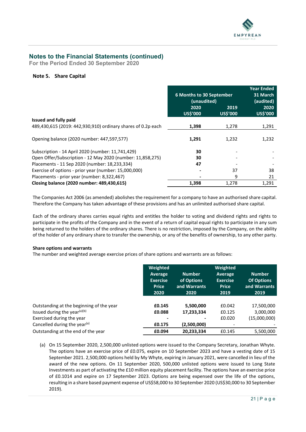

**For the Period Ended 30 September 2020**

### **Note 5. Share Capital**

|                                                              | 6 Months to 30 September<br>(unaudited) |                  | <b>Year Ended</b><br>31 March<br>(audited) |
|--------------------------------------------------------------|-----------------------------------------|------------------|--------------------------------------------|
|                                                              | 2020<br>US\$'000                        | 2019<br>US\$'000 | 2020<br>US\$'000                           |
| Issued and fully paid                                        |                                         |                  |                                            |
| 489,430,615 (2019: 442,930,910) ordinary shares of 0.2p each | 1,398                                   | 1,278            | 1,291                                      |
| Opening balance (2020 number: 447,597,577)                   | 1,291                                   | 1,232            | 1,232                                      |
| Subscription - 14 April 2020 (number: 11,741,429)            | 30                                      |                  |                                            |
| Open Offer/Subscription - 12 May 2020 (number: 11,858,275)   | 30                                      |                  |                                            |
| Placements - 11 Sep 2020 (number: 18,233,334)                | 47                                      |                  |                                            |
| Exercise of options - prior year (number: 15,000,000)        |                                         | 37               | 38                                         |
| Placements - prior year (number: 8,322,467)                  |                                         | 9                | 21                                         |
| Closing balance (2020 number: 489,430,615)                   | 1,398                                   | 1,278            | 1,291                                      |

The Companies Act 2006 (as amended) abolishes the requirement for a company to have an authorised share capital. Therefore the Company has taken advantage of these provisions and has an unlimited authorised share capital.

Each of the ordinary shares carries equal rights and entitles the holder to voting and dividend rights and rights to participate in the profits of the Company and in the event of a return of capital equal rights to participate in any sum being returned to the holders of the ordinary shares. There is no restriction, imposed by the Company, on the ability of the holder of any ordinary share to transfer the ownership, or any of the benefits of ownership, to any other party.

### **Share options and warrants**

The number and weighted average exercise prices of share options and warrants are as follows:

|                                          | Weighted<br>Average<br><b>Exercise</b><br><b>Price</b><br>2020 | <b>Number</b><br>of Options<br>and Warrants<br>2020 | Weighted<br>Average<br><b>Exercise</b><br><b>Price</b><br>2019 | <b>Number</b><br><b>Of Options</b><br>and Warrants<br>2019 |
|------------------------------------------|----------------------------------------------------------------|-----------------------------------------------------|----------------------------------------------------------------|------------------------------------------------------------|
| Outstanding at the beginning of the year | £0.145                                                         | 5,500,000                                           | £0.042                                                         | 17,500,000                                                 |
| Issued during the year <sup>(a)(b)</sup> | £0.088                                                         | 17,233,334                                          | £0.125                                                         | 3,000,000                                                  |
| Exercised during the year                |                                                                |                                                     | £0.020                                                         | (15,000,000)                                               |
| Cancelled during the year <sup>(a)</sup> | £0.175                                                         | (2,500,000)                                         |                                                                |                                                            |
| Outstanding at the end of the year       | £0.094                                                         | 20,233,334                                          | £0.145                                                         | 5,500,000                                                  |

(a) On 15 September 2020, 2,500,000 unlisted options were issued to the Company Secretary, Jonathan Whyte. The options have an exercise price of £0.075, expire on 10 September 2023 and have a vesting date of 15 September 2021. 2,500,000 options held by My Whyte, expiring in January 2021, were cancelled in lieu of the award of the new options. On 11 September 2020, 500,000 unlisted options were issued to Long State Investments as part of activating the £10 million equity placement facility. The options have an exercise price of £0.1014 and expire on 17 September 2023. Options are being expensed over the life of the options, resulting in a share based payment expense of US\$58,000 to 30 September 2020 (US\$30,000 to 30 September 2019).